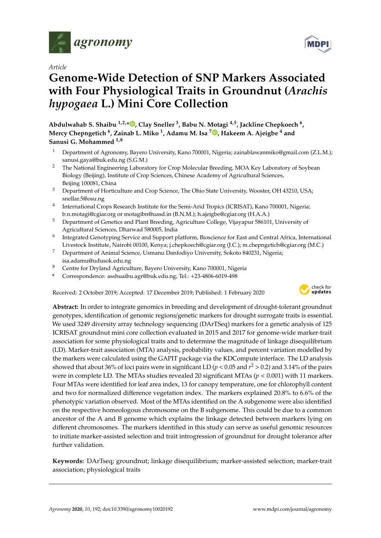

*Article*

# **Genome-Wide Detection of SNP Markers Associated with Four Physiological Traits in Groundnut (***Arachis hypogaea* **L.) Mini Core Collection**

**Abdulwahab S. Shaibu 1,2,[\\*](https://orcid.org/0000-0002-8538-3690) , Clay Sneller <sup>3</sup> , Babu N. Motagi 4,5, Jackline Chepkoech <sup>6</sup> , Mercy Chepngetich <sup>6</sup> , Zainab L. Miko <sup>1</sup> , Adamu M. Isa <sup>7</sup> [,](https://orcid.org/0000-0002-2901-249X) Hakeem A. Ajeigbe <sup>4</sup> and Sanusi G. Mohammed 1,8**

- <sup>1</sup> Department of Agronomy, Bayero University, Kano 700001, Nigeria; zainablawanmiko@gmail.com (Z.L.M.); sanusi.gaya@buk.edu.ng (S.G.M.)
- <sup>2</sup> The National Engineering Laboratory for Crop Molecular Breeding, MOA Key Laboratory of Soybean Biology (Beijing), Institute of Crop Sciences, Chinese Academy of Agricultural Sciences, Beijing 100081, China
- <sup>3</sup> Department of Horticulture and Crop Science, The Ohio State University, Wooster, OH 43210, USA; snellar.5@osu.ng
- 4 International Crops Research Institute for the Semi-Arid Tropics (ICRISAT), Kano 700001, Nigeria; b.n.motagi@cgiar.org or motagibn@uasd.in (B.N.M.); h.ajeigbe@cgiar.org (H.A.A.)
- <sup>5</sup> Department of Genetics and Plant Breeding, Agriculture College, Vijayapur 586101, University of Agricultural Sciences, Dharwad 580005, India
- 6 Integrated Genotyping Service and Support platform, Bioscience for East and Central Africa, International Livestock Institute, Nairobi 00100, Kenya; j.chepkoech@cgiar.org (J.C.); m.chepngetich@cgiar.org (M.C.)
- <sup>7</sup> Department of Animal Science, Usmanu Danfodiyo University, Sokoto 840231, Nigeria; isa.adamu@udusok.edu.ng
- <sup>8</sup> Centre for Dryland Agriculture, Bayero University, Kano 700001, Nigeria
- **\*** Correspondence: asshuaibu.agr@buk.edu.ng; Tel.: +23-4806-6019-498

Received: 2 October 2019; Accepted: 17 December 2019; Published: 1 February 2020



**Abstract:** In order to integrate genomics in breeding and development of drought-tolerant groundnut genotypes, identification of genomic regions/genetic markers for drought surrogate traits is essential. We used 3249 diversity array technology sequencing (DArTSeq) markers for a genetic analysis of 125 ICRISAT groundnut mini core collection evaluated in 2015 and 2017 for genome-wide marker-trait association for some physiological traits and to determine the magnitude of linkage disequilibrium (LD). Marker-trait association (MTA) analysis, probability values, and percent variation modelled by the markers were calculated using the GAPIT package via the KDCompute interface. The LD analysis showed that about 36% of loci pairs were in significant LD ( $p$  < 0.05 and  $r^2$  > 0.2) and 3.14% of the pairs were in complete LD. The MTAs studies revealed 20 significant MTAs (*p* < 0.001) with 11 markers. Four MTAs were identified for leaf area index, 13 for canopy temperature, one for chlorophyll content and two for normalized difference vegetation index. The markers explained 20.8% to 6.6% of the phenotypic variation observed. Most of the MTAs identified on the A subgenome were also identified on the respective homeologous chromosome on the B subgenome. This could be due to a common ancestor of the A and B genome which explains the linkage detected between markers lying on different chromosomes. The markers identified in this study can serve as useful genomic resources to initiate marker-assisted selection and trait introgression of groundnut for drought tolerance after further validation.

**Keywords:** DArTseq; groundnut; linkage disequilibrium; marker-assisted selection; marker-trait association; physiological traits

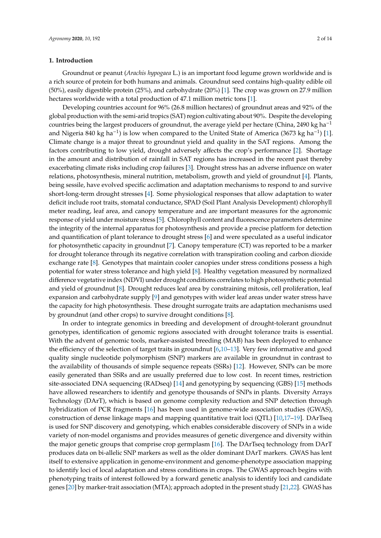## **1. Introduction**

Groundnut or peanut (*Arachis hypogaea* L.) is an important food legume grown worldwide and is a rich source of protein for both humans and animals. Groundnut seed contains high-quality edible oil (50%), easily digestible protein (25%), and carbohydrate (20%) [\[1\]](#page-11-0). The crop was grown on 27.9 million hectares worldwide with a total production of 47.1 million metric tons [\[1\]](#page-11-0).

Developing countries account for 96% (26.8 million hectares) of groundnut areas and 92% of the global production with the semi-arid tropics (SAT) region cultivating about 90%. Despite the developing countries being the largest producers of groundnut, the average yield per hectare (China, 2490 kg ha−<sup>1</sup> and Nigeria 840 kg ha<sup>-1</sup>) is low when compared to the United State of America (3673 kg ha<sup>-1</sup>) [\[1\]](#page-11-0). Climate change is a major threat to groundnut yield and quality in the SAT regions. Among the factors contributing to low yield, drought adversely affects the crop's performance [\[2\]](#page-11-1). Shortage in the amount and distribution of rainfall in SAT regions has increased in the recent past thereby exacerbating climate risks including crop failures [\[3\]](#page-11-2). Drought stress has an adverse influence on water relations, photosynthesis, mineral nutrition, metabolism, growth and yield of groundnut [\[4\]](#page-11-3). Plants, being sessile, have evolved specific acclimation and adaptation mechanisms to respond to and survive short-long-term drought stresses [\[4\]](#page-11-3). Some physiological responses that allow adaptation to water deficit include root traits, stomatal conductance, SPAD (Soil Plant Analysis Development) chlorophyll meter reading, leaf area, and canopy temperature and are important measures for the agronomic response of yield under moisture stress [\[5\]](#page-11-4). Chlorophyll content and fluorescence parameters determine the integrity of the internal apparatus for photosynthesis and provide a precise platform for detection and quantification of plant tolerance to drought stress [\[6\]](#page-11-5) and were speculated as a useful indicator for photosynthetic capacity in groundnut [\[7\]](#page-11-6). Canopy temperature (CT) was reported to be a marker for drought tolerance through its negative correlation with transpiration cooling and carbon dioxide exchange rate [\[8\]](#page-11-7). Genotypes that maintain cooler canopies under stress conditions possess a high potential for water stress tolerance and high yield [\[8\]](#page-11-7). Healthy vegetation measured by normalized difference vegetative index (NDVI) under drought conditions correlates to high photosynthetic potential and yield of groundnut [\[8\]](#page-11-7). Drought reduces leaf area by constraining mitosis, cell proliferation, leaf expansion and carbohydrate supply [\[9\]](#page-12-0) and genotypes with wider leaf areas under water stress have the capacity for high photosynthesis. These drought surrogate traits are adaptation mechanisms used by groundnut (and other crops) to survive drought conditions [\[8\]](#page-11-7).

In order to integrate genomics in breeding and development of drought-tolerant groundnut genotypes, identification of genomic regions associated with drought tolerance traits is essential. With the advent of genomic tools, marker-assisted breeding (MAB) has been deployed to enhance the efficiency of the selection of target traits in groundnut [\[6](#page-11-5)[,10](#page-12-1)[–13\]](#page-12-2). Very few informative and good quality single nucleotide polymorphism (SNP) markers are available in groundnut in contrast to the availability of thousands of simple sequence repeats (SSRs) [\[12\]](#page-12-3). However, SNPs can be more easily generated than SSRs and are usually preferred due to low cost. In recent times, restriction site-associated DNA sequencing (RADseq) [\[14\]](#page-12-4) and genotyping by sequencing (GBS) [\[15\]](#page-12-5) methods have allowed researchers to identify and genotype thousands of SNPs in plants. Diversity Arrays Technology (DArT), which is based on genome complexity reduction and SNP detection through hybridization of PCR fragments [\[16\]](#page-12-6) has been used in genome-wide association studies (GWAS), construction of dense linkage maps and mapping quantitative trait loci (QTL) [\[10](#page-12-1)[,17–](#page-12-7)[19\]](#page-12-8). DArTseq is used for SNP discovery and genotyping, which enables considerable discovery of SNPs in a wide variety of non-model organisms and provides measures of genetic divergence and diversity within the major genetic groups that comprise crop germplasm [\[16\]](#page-12-6). The DArTseq technology from DArT produces data on bi-allelic SNP markers as well as the older dominant DArT markers. GWAS has lent itself to extensive application in genome-environment and genome-phenotype association mapping to identify loci of local adaptation and stress conditions in crops. The GWAS approach begins with phenotyping traits of interest followed by a forward genetic analysis to identify loci and candidate genes [\[20\]](#page-12-9) by marker-trait association (MTA); approach adopted in the present study [\[21,](#page-12-10)[22\]](#page-12-11). GWAS has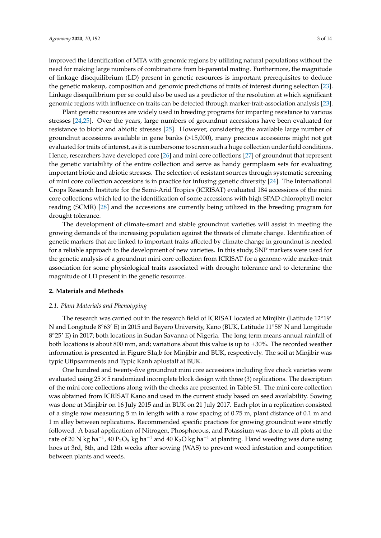improved the identification of MTA with genomic regions by utilizing natural populations without the need for making large numbers of combinations from bi-parental mating. Furthermore, the magnitude of linkage disequilibrium (LD) present in genetic resources is important prerequisites to deduce the genetic makeup, composition and genomic predictions of traits of interest during selection [\[23\]](#page-12-12). Linkage disequilibrium per se could also be used as a predictor of the resolution at which significant genomic regions with influence on traits can be detected through marker-trait-association analysis [\[23\]](#page-12-12).

Plant genetic resources are widely used in breeding programs for imparting resistance to various stresses [\[24](#page-12-13)[,25\]](#page-12-14). Over the years, large numbers of groundnut accessions have been evaluated for resistance to biotic and abiotic stresses [\[25\]](#page-12-14). However, considering the available large number of groundnut accessions available in gene banks (>15,000), many precious accessions might not get evaluated for traits of interest, as it is cumbersome to screen such a huge collection under field conditions. Hence, researchers have developed core [\[26\]](#page-12-15) and mini core collections [\[27\]](#page-12-16) of groundnut that represent the genetic variability of the entire collection and serve as handy germplasm sets for evaluating important biotic and abiotic stresses. The selection of resistant sources through systematic screening of mini core collection accessions is in practice for infusing genetic diversity [\[24\]](#page-12-13). The International Crops Research Institute for the Semi-Arid Tropics (ICRISAT) evaluated 184 accessions of the mini core collections which led to the identification of some accessions with high SPAD chlorophyll meter reading (SCMR) [\[28\]](#page-12-17) and the accessions are currently being utilized in the breeding program for drought tolerance.

The development of climate-smart and stable groundnut varieties will assist in meeting the growing demands of the increasing population against the threats of climate change. Identification of genetic markers that are linked to important traits affected by climate change in groundnut is needed for a reliable approach to the development of new varieties. In this study, SNP markers were used for the genetic analysis of a groundnut mini core collection from ICRISAT for a genome-wide marker-trait association for some physiological traits associated with drought tolerance and to determine the magnitude of LD present in the genetic resource.

## **2. Materials and Methods**

# *2.1. Plant Materials and Phenotyping*

The research was carried out in the research field of ICRISAT located at Minjibir (Latitude  $12^{\circ}19'$ N and Longitude  $8°63′$  E) in 2015 and Bayero University, Kano (BUK, Latitude  $11°58′$  N and Longitude 8°25' E) in 2017; both locations in Sudan Savanna of Nigeria. The long term means annual rainfall of both locations is about 800 mm, and; variations about this value is up to ±30%. The recorded weather information is presented in Figure S1a,b for Minjibir and BUK, respectively. The soil at Minjibir was typic Utipsamments and Typic Kanh aplustalf at BUK.

One hundred and twenty-five groundnut mini core accessions including five check varieties were evaluated using  $25 \times 5$  randomized incomplete block design with three (3) replications. The description of the mini core collections along with the checks are presented in Table S1. The mini core collection was obtained from ICRISAT Kano and used in the current study based on seed availability. Sowing was done at Minjibir on 16 July 2015 and in BUK on 21 July 2017. Each plot in a replication consisted of a single row measuring 5 m in length with a row spacing of 0.75 m, plant distance of 0.1 m and 1 m alley between replications. Recommended specific practices for growing groundnut were strictly followed. A basal application of Nitrogen, Phosphorous, and Potassium was done to all plots at the rate of 20 N kg ha<sup>-1</sup>, 40 P<sub>2</sub>O<sub>5</sub> kg ha<sup>-1</sup> and 40 K<sub>2</sub>O kg ha<sup>-1</sup> at planting. Hand weeding was done using hoes at 3rd, 8th, and 12th weeks after sowing (WAS) to prevent weed infestation and competition between plants and weeds.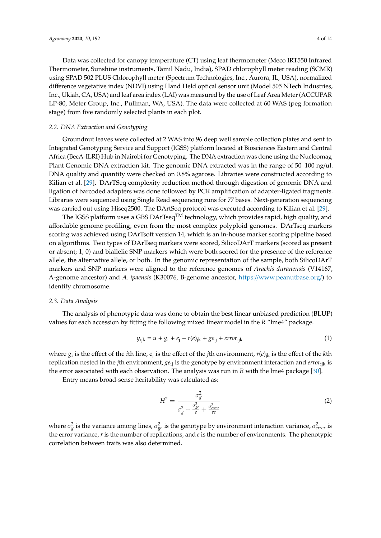Data was collected for canopy temperature (CT) using leaf thermometer (Meco IRT550 Infrared Thermometer, Sunshine instruments, Tamil Nadu, India), SPAD chlorophyll meter reading (SCMR) using SPAD 502 PLUS Chlorophyll meter (Spectrum Technologies, Inc., Aurora, IL, USA), normalized difference vegetative index (NDVI) using Hand Held optical sensor unit (Model 505 NTech Industries, Inc., Ukiah, CA, USA) and leaf area index (LAI) was measured by the use of Leaf Area Meter (ACCUPAR LP-80, Meter Group, Inc., Pullman, WA, USA). The data were collected at 60 WAS (peg formation stage) from five randomly selected plants in each plot.

#### *2.2. DNA Extraction and Genotyping*

Groundnut leaves were collected at 2 WAS into 96 deep well sample collection plates and sent to Integrated Genotyping Service and Support (IGSS) platform located at Biosciences Eastern and Central Africa (BecA-ILRI) Hub in Nairobi for Genotyping. The DNA extraction was done using the Nucleomag Plant Genomic DNA extraction kit. The genomic DNA extracted was in the range of 50–100 ng/ul. DNA quality and quantity were checked on 0.8% agarose. Libraries were constructed according to Kilian et al. [\[29\]](#page-13-0). DArTSeq complexity reduction method through digestion of genomic DNA and ligation of barcoded adapters was done followed by PCR amplification of adapter-ligated fragments. Libraries were sequenced using Single Read sequencing runs for 77 bases. Next-generation sequencing was carried out using Hiseq2500. The DArtSeq protocol was executed according to Kilian et al. [\[29\]](#page-13-0).

The IGSS platform uses a GBS DArTseq<sup>TM</sup> technology, which provides rapid, high quality, and affordable genome profiling, even from the most complex polyploid genomes. DArTseq markers scoring was achieved using DArTsoft version 14, which is an in-house marker scoring pipeline based on algorithms. Two types of DArTseq markers were scored, SilicoDArT markers (scored as present or absent; 1, 0) and biallelic SNP markers which were both scored for the presence of the reference allele, the alternative allele, or both. In the genomic representation of the sample, both SilicoDArT markers and SNP markers were aligned to the reference genomes of *Arachis duranensis* (V14167, A-genome ancestor) and *A. ipaensis* (K30076, B-genome ancestor, https://[www.peanutbase.org](https://www.peanutbase.org/)/) to identify chromosome.

#### *2.3. Data Analysis*

The analysis of phenotypic data was done to obtain the best linear unbiased prediction (BLUP) values for each accession by fitting the following mixed linear model in the *R* "lme4" package.

$$
y_{ijk} = u + g_i + e_j + r(e)_{jk} + g e_{ij} + error_{ijk}.
$$
 (1)

where *g*<sup>i</sup> is the effect of the *i*th line, e<sup>j</sup> is the effect of the *j*th environment, *r*(*e*)jk is the effect of the *k*th replication nested in the *j*th environment, *ge*ij is the genotype by environment interaction and *error*ijk is the error associated with each observation. The analysis was run in *R* with the lme4 package [\[30\]](#page-13-1).

Entry means broad-sense heritability was calculated as:

$$
H^2 = \frac{\sigma_g^2}{\sigma_g^2 + \frac{\sigma_{ge}^2}{e} + \frac{\sigma_{error}^2}{re}}
$$
 (2)

where  $\sigma_g^2$  is the variance among lines,  $\sigma_{ge}^2$  is the genotype by environment interaction variance,  $\sigma_{error}^2$  is the error variance, *r* is the number of replications, and *e* is the number of environments. The phenotypic correlation between traits was also determined.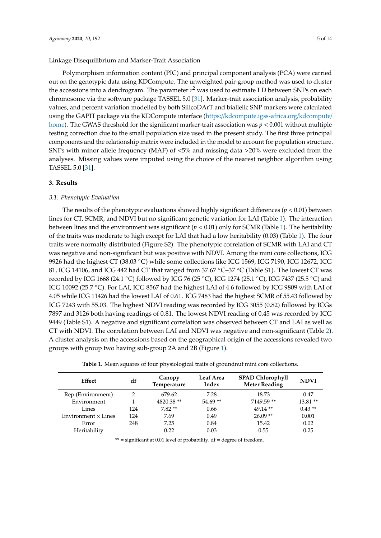Polymorphism information content (PIC) and principal component analysis (PCA) were carried out on the genotypic data using KDCompute. The unweighted pair-group method was used to cluster the accessions into a dendrogram. The parameter *r* <sup>2</sup> was used to estimate LD between SNPs on each chromosome via the software package TASSEL 5.0 [\[31\]](#page-13-2). Marker-trait association analysis, probability values, and percent variation modelled by both SilicoDArT and biallelic SNP markers were calculated using the GAPIT package via the KDCompute interface (https://[kdcompute.igss-africa.org](https://kdcompute.igss-africa.org/kdcompute/home)/kdcompute/ [home\)](https://kdcompute.igss-africa.org/kdcompute/home). The GWAS threshold for the significant marker-trait association was  $p < 0.001$  without multiple testing correction due to the small population size used in the present study. The first three principal components and the relationship matrix were included in the model to account for population structure. SNPs with minor allele frequency (MAF) of <5% and missing data >20% were excluded from the analyses. Missing values were imputed using the choice of the nearest neighbor algorithm using TASSEL 5.0 [\[31\]](#page-13-2).

#### **3. Results**

## *3.1. Phenotypic Evaluation*

The results of the phenotypic evaluations showed highly significant differences ( $p < 0.01$ ) between lines for CT, SCMR, and NDVI but no significant genetic variation for LAI (Table [1\)](#page-4-0). The interaction between lines and the environment was significant (*p* < 0.01) only for SCMR (Table [1\)](#page-4-0). The heritability of the traits was moderate to high except for LAI that had a low heritability (0.03) (Table [1\)](#page-4-0). The four traits were normally distributed (Figure S2). The phenotypic correlation of SCMR with LAI and CT was negative and non-significant but was positive with NDVI. Among the mini core collections, ICG 9926 had the highest CT (38.03 °C) while some collections like ICG 1569, ICG 7190, ICG 12672, ICG 81, ICG 14106, and ICG 442 had CT that ranged from 37.67 °C–37 °C (Table S1). The lowest CT was recorded by ICG 1668 (24.1 ◦C) followed by ICG 76 (25 ◦C), ICG 1274 (25.1 ◦C), ICG 7437 (25.5 ◦C) and ICG 10092 (25.7 ◦C). For LAI, ICG 8567 had the highest LAI of 4.6 followed by ICG 9809 with LAI of 4.05 while ICG 11426 had the lowest LAI of 0.61. ICG 7483 had the highest SCMR of 55.43 followed by ICG 7243 with 55.03. The highest NDVI reading was recorded by ICG 3055 (0.82) followed by ICGs 7897 and 3126 both having readings of 0.81. The lowest NDVI reading of 0.45 was recorded by ICG 9449 (Table S1). A negative and significant correlation was observed between CT and LAI as well as CT with NDVI. The correlation between LAI and NDVI was negative and non-significant (Table [2\)](#page-5-0). A cluster analysis on the accessions based on the geographical origin of the accessions revealed two groups with group two having sub-group 2A and 2B (Figure [1\)](#page-5-1).

|  |  |  |  |  |  | Table 1. Mean squares of four physiological traits of groundnut mini core collections. |
|--|--|--|--|--|--|----------------------------------------------------------------------------------------|
|--|--|--|--|--|--|----------------------------------------------------------------------------------------|

<span id="page-4-0"></span>

| df<br><b>Effect</b>        |     | Canopy<br>Temperature | <b>Leaf Area</b><br>Index | <b>SPAD Chlorophyll</b><br><b>Meter Reading</b> | <b>NDVI</b> |
|----------------------------|-----|-----------------------|---------------------------|-------------------------------------------------|-------------|
| Rep (Environment)          | 2   | 679.62                | 7.28                      | 18.73                                           | 0.47        |
| Environment                |     | 4820.38 **            | $54.69**$                 | 7149.59**                                       | $13.81**$   |
| Lines                      | 124 | $7.82**$              | 0.66                      | $49.14**$                                       | $0.43**$    |
| Environment $\times$ Lines | 124 | 7.69                  | 0.49                      | $26.09**$                                       | 0.001       |
| Error                      | 248 | 7.25                  | 0.84                      | 15.42                                           | 0.02        |
| Heritability               |     | 0.22                  | 0.03                      | 0.55                                            | 0.25        |

\*\* = significant at 0.01 level of probability.  $df = degree of freedom$ .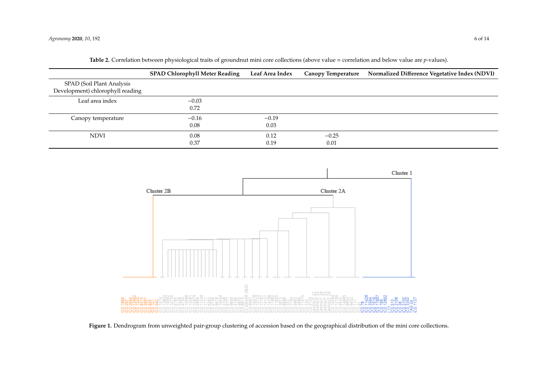|                                                               | <b>SPAD Chlorophyll Meter Reading</b> | Leaf Area Index | <b>Canopy Temperature</b> | Normalized Difference Vegetative Index (NDVI) |
|---------------------------------------------------------------|---------------------------------------|-----------------|---------------------------|-----------------------------------------------|
| SPAD (Soil Plant Analysis<br>Development) chlorophyll reading |                                       |                 |                           |                                               |
| Leaf area index                                               | $-0.03$<br>0.72                       |                 |                           |                                               |
| Canopy temperature                                            | $-0.16$<br>0.08                       | $-0.19$<br>0.03 |                           |                                               |
| <b>NDVI</b>                                                   | 0.08<br>0.37                          | 0.12<br>0.19    | $-0.25$<br>0.01           |                                               |

Table 2. Correlation between physiological traits of groundnut mini core collections (above value = correlation and below value are p-values).

<span id="page-5-0"></span>

<span id="page-5-1"></span>**Figure 1.** Dendrogram from unweighted pair-group clustering of accession based on the geographical distribution of the mini core collections.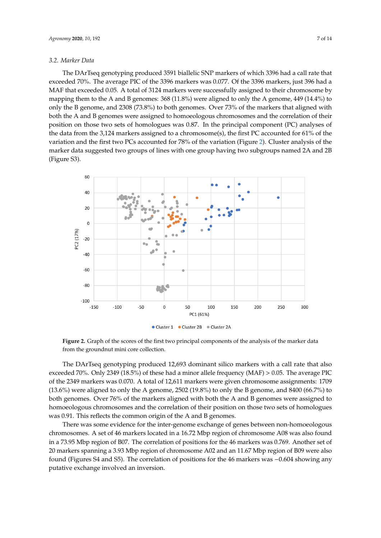#### *3.2. Marker Data*

The DArTseq genotyping produced 3591 biallelic SNP markers of which 3396 had a call rate that exceeded 70%. The average PIC of the 3396 markers was 0.077. Of the 3396 markers, just 396 had a MAF that exceeded 0.05. A total of 3124 markers were successfully assigned to their chromosome by mapping them to the A and B genomes: 368 (11.8%) were aligned to only the A genome, 449 (14.4%) to only the B genome, and 2308 (73.8%) to both genomes. Over 73% of the markers that aligned with both the A and B genomes were assigned to homoeologous chromosomes and the correlation of their position on those two sets of homologues was 0.87. In the principal component (PC) analyses of the data from the 3,124 markers assigned to a chromosome(s), the first PC accounted for 61% of the variation and the first two PCs accounted for 78% of the variation (Figure [2\)](#page-6-0). Cluster analysis of the marker data suggested two groups of lines with one group having two subgroups named 2A and 2B (Figure S3). *Agronomy* **2019**, *9*, x FOR PEER REVIEW 2 of 15

<span id="page-6-0"></span>

**Figure 2.** Graph of the scores of the first two principal components of the analysis of the marker data **Figure 2.** Graph of the scores of the first two principal components of the analysis of the marker data from the groundnut mini core collection. from the groundnut mini core collection.

The DArTseq genotyping produced 12,693 dominant silico markers with a call rate that also mediation of the call rate that also exceeded 70%. Only 2349 (18.5%) of these had a minor allele frequency (MAF) > 0.05. The average exceeded 70%. Only 2349 (18.5%) of these had a minor allele frequency (MAF) > 0.05. The average PIC of the 2349 markers was 0.070. A total of 12,611 markers were given chromosome assignments: 1709  $(13.6\%)$  were aligned to only the A genome, 2502  $(19.8\%)$  to only the B genome, and 8400  $(66.7\%)$  to to both genomes. Over 76% of the markers aligned with both the A and B genomes were assigned to both genomes. Over 76% of the markers aligned with both the A and B genomes were assigned to homoeologous chromosomes and the correlation of their position on those two sets of homologues homoeologous chromosomes and the correlation of their position on those two sets of homologues was 0.91. This reflects the common origin of the A and B genomes. was 0.91. This reflects the common origin of the A and B genomes.

There was some evidence for the inter-genome exchange of genes between non-homoeologous There was some evidence for the inter-genome exchange of genes between non-homoeologous chromosomes. A set of 46 markers located in a 16.72 Mbp region of chromosome A08 was also found chromosomes. A set of 46 markers located in a 16.72 Mbp region of chromosome A08 was also found in a 73.95 Mbp region of B07. The correlation of positions for the 46 markers was 0.769. Another set in a 73.95 Mbp region of B07. The correlation of positions for the 46 markers was 0.769. Another set of of 20 markers spanning a 3.93 Mbp region of chromosome A02 and an 11.67 Mbp region of B09 were 20 markers spanning a 3.93 Mbp region of chromosome A02 and an 11.67 Mbp region of B09 were also also found (Figures S4 and S5). The correlation of positions for the 46 markers was −0.604 showing found (Figures S4 and S5). The correlation of positions for the 46 markers was −0.604 showing any putative exchange involved an inversion.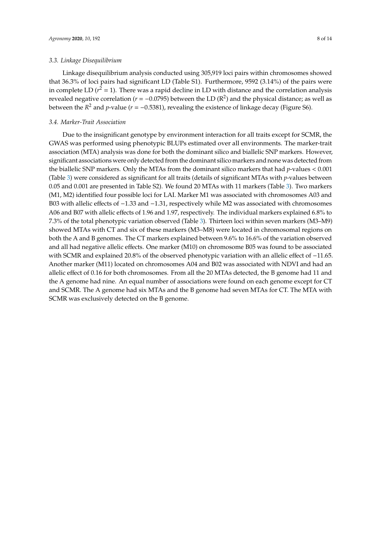#### *3.3. Linkage Disequilibrium*

Linkage disequilibrium analysis conducted using 305,919 loci pairs within chromosomes showed that 36.3% of loci pairs had significant LD (Table S1). Furthermore, 9592 (3.14%) of the pairs were in complete LD ( $r^2 = 1$ ). There was a rapid decline in LD with distance and the correlation analysis revealed negative correlation ( $r = -0.0795$ ) between the LD ( $R^2$ ) and the physical distance; as well as between the  $R^2$  and *p*-value ( $r = -0.5381$ ), revealing the existence of linkage decay (Figure S6).

# *3.4. Marker-Trait Association*

Due to the insignificant genotype by environment interaction for all traits except for SCMR, the GWAS was performed using phenotypic BLUPs estimated over all environments. The marker-trait association (MTA) analysis was done for both the dominant silico and biallelic SNP markers. However, significant associations were only detected from the dominant silico markers and none was detected from the biallelic SNP markers. Only the MTAs from the dominant silico markers that had *p*-values < 0.001 (Table [3\)](#page-8-0) were considered as significant for all traits (details of significant MTAs with *p*-values between 0.05 and 0.001 are presented in Table S2). We found 20 MTAs with 11 markers (Table [3\)](#page-8-0). Two markers (M1, M2) identified four possible loci for LAI. Marker M1 was associated with chromosomes A03 and B03 with allelic effects of −1.33 and −1.31, respectively while M2 was associated with chromosomes A06 and B07 with allelic effects of 1.96 and 1.97, respectively. The individual markers explained 6.8% to 7.3% of the total phenotypic variation observed (Table [3\)](#page-8-0). Thirteen loci within seven markers (M3–M9) showed MTAs with CT and six of these markers (M3–M8) were located in chromosomal regions on both the A and B genomes. The CT markers explained between 9.6% to 16.6% of the variation observed and all had negative allelic effects. One marker (M10) on chromosome B05 was found to be associated with SCMR and explained 20.8% of the observed phenotypic variation with an allelic effect of −11.65. Another marker (M11) located on chromosomes A04 and B02 was associated with NDVI and had an allelic effect of 0.16 for both chromosomes. From all the 20 MTAs detected, the B genome had 11 and the A genome had nine. An equal number of associations were found on each genome except for CT and SCMR. The A genome had six MTAs and the B genome had seven MTAs for CT. The MTA with SCMR was exclusively detected on the B genome.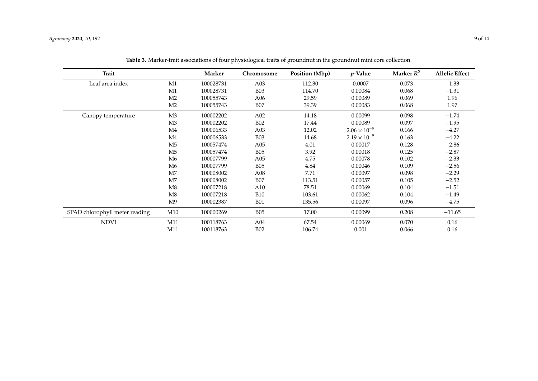<span id="page-8-0"></span>

| <b>Trait</b>                   |                | Marker    | Chromosome | Position (Mbp) | $p$ -Value            | Marker $R^2$ | <b>Allelic Effect</b> |
|--------------------------------|----------------|-----------|------------|----------------|-----------------------|--------------|-----------------------|
| Leaf area index                | M1             | 100028731 | A03        | 112.30         | 0.0007                | 0.073        | $-1.33$               |
|                                | M1             | 100028731 | <b>B03</b> | 114.70         | 0.00084               | 0.068        | $-1.31$               |
|                                | M <sub>2</sub> | 100055743 | A06        | 29.59          | 0.00089               | 0.069        | 1.96                  |
|                                | M <sub>2</sub> | 100055743 | <b>B07</b> | 39.39          | 0.00083               | 0.068        | 1.97                  |
| Canopy temperature             | M3             | 100002202 | A02        | 14.18          | 0.00099               | 0.098        | $-1.74$               |
|                                | M <sub>3</sub> | 100002202 | <b>B02</b> | 17.44          | 0.00089               | 0.097        | $-1.95$               |
|                                | M4             | 100006533 | A03        | 12.02          | $2.06 \times 10^{-5}$ | 0.166        | $-4.27$               |
|                                | M <sub>4</sub> | 100006533 | <b>B03</b> | 14.68          | $2.19 \times 10^{-5}$ | 0.163        | $-4.22$               |
|                                | M <sub>5</sub> | 100057474 | A05        | 4.01           | 0.00017               | 0.128        | $-2.86$               |
|                                | M <sub>5</sub> | 100057474 | <b>B05</b> | 3.92           | 0.00018               | 0.125        | $-2.87$               |
|                                | M6             | 100007799 | A05        | 4.75           | 0.00078               | 0.102        | $-2.33$               |
|                                | M6             | 100007799 | <b>B05</b> | 4.84           | 0.00046               | 0.109        | $-2.56$               |
|                                | M7             | 100008002 | A08        | 7.71           | 0.00097               | 0.098        | $-2.29$               |
|                                | M <sub>7</sub> | 100008002 | <b>B07</b> | 113.51         | 0.00057               | 0.105        | $-2.52$               |
|                                | M8             | 100007218 | A10        | 78.51          | 0.00069               | 0.104        | $-1.51$               |
|                                | M8             | 100007218 | <b>B10</b> | 103.61         | 0.00062               | 0.104        | $-1.49$               |
|                                | M <sup>9</sup> | 100002387 | <b>B01</b> | 135.56         | 0.00097               | 0.096        | $-4.75$               |
| SPAD chlorophyll meter reading | M10            | 100000269 | <b>B05</b> | 17.00          | 0.00099               | 0.208        | $-11.65$              |
| <b>NDVI</b>                    | M11            | 100118763 | A04        | 67.54          | 0.00069               | 0.070        | 0.16                  |
|                                | M11            | 100118763 | <b>B02</b> | 106.74         | 0.001                 | 0.066        | 0.16                  |

**Table 3.** Marker-trait associations of four physiological traits of groundnut in the groundnut mini core collection.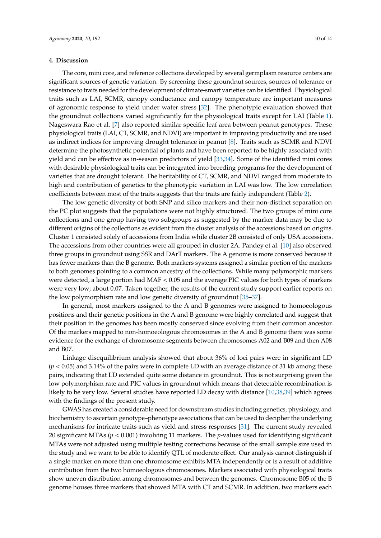## **4. Discussion**

The core, mini core, and reference collections developed by several germplasm resource centers are significant sources of genetic variation. By screening these groundnut sources, sources of tolerance or resistance to traits needed for the development of climate-smart varieties can be identified. Physiological traits such as LAI, SCMR, canopy conductance and canopy temperature are important measures of agronomic response to yield under water stress [\[32\]](#page-13-3). The phenotypic evaluation showed that the groundnut collections varied significantly for the physiological traits except for LAI (Table [1\)](#page-4-0). Nageswara Rao et al. [\[7\]](#page-11-6) also reported similar specific leaf area between peanut genotypes. These physiological traits (LAI, CT, SCMR, and NDVI) are important in improving productivity and are used as indirect indices for improving drought tolerance in peanut [\[8\]](#page-11-7). Traits such as SCMR and NDVI determine the photosynthetic potential of plants and have been reported to be highly associated with yield and can be effective as in-season predictors of yield [\[33,](#page-13-4)[34\]](#page-13-5). Some of the identified mini cores with desirable physiological traits can be integrated into breeding programs for the development of varieties that are drought tolerant. The heritability of CT, SCMR, and NDVI ranged from moderate to high and contribution of genetics to the phenotypic variation in LAI was low. The low correlation coefficients between most of the traits suggests that the traits are fairly independent (Table [2\)](#page-5-0).

The low genetic diversity of both SNP and silico markers and their non-distinct separation on the PC plot suggests that the populations were not highly structured. The two groups of mini core collections and one group having two subgroups as suggested by the marker data may be due to different origins of the collections as evident from the cluster analysis of the accessions based on origins. Cluster 1 consisted solely of accessions from India while cluster 2B consisted of only USA accessions. The accessions from other countries were all grouped in cluster 2A. Pandey et al. [\[10\]](#page-12-1) also observed three groups in groundnut using SSR and DArT markers. The A genome is more conserved because it has fewer markers than the B genome. Both markers systems assigned a similar portion of the markers to both genomes pointing to a common ancestry of the collections. While many polymorphic markers were detected, a large portion had MAF < 0.05 and the average PIC values for both types of markers were very low; about 0.07. Taken together, the results of the current study support earlier reports on the low polymorphism rate and low genetic diversity of groundnut [\[35](#page-13-6)[–37\]](#page-13-7).

In general, most markers assigned to the A and B genomes were assigned to homoeologous positions and their genetic positions in the A and B genome were highly correlated and suggest that their position in the genomes has been mostly conserved since evolving from their common ancestor. Of the markers mapped to non-homoeologous chromosomes in the A and B genome there was some evidence for the exchange of chromosome segments between chromosomes A02 and B09 and then A08 and B07.

Linkage disequilibrium analysis showed that about 36% of loci pairs were in significant LD (*p* < 0.05) and 3.14% of the pairs were in complete LD with an average distance of 31 kb among these pairs, indicating that LD extended quite some distance in groundnut. This is not surprising given the low polymorphism rate and PIC values in groundnut which means that detectable recombination is likely to be very low. Several studies have reported LD decay with distance [\[10,](#page-12-1)[38,](#page-13-8)[39\]](#page-13-9) which agrees with the findings of the present study.

GWAS has created a considerable need for downstream studies including genetics, physiology, and biochemistry to ascertain genotype–phenotype associations that can be used to decipher the underlying mechanisms for intricate traits such as yield and stress responses [\[31\]](#page-13-2). The current study revealed 20 significant MTAs (*p* < 0.001) involving 11 markers. The *p*-values used for identifying significant MTAs were not adjusted using multiple testing corrections because of the small sample size used in the study and we want to be able to identify QTL of moderate effect. Our analysis cannot distinguish if a single marker on more than one chromosome exhibits MTA independently or is a result of additive contribution from the two homoeologous chromosomes. Markers associated with physiological traits show uneven distribution among chromosomes and between the genomes. Chromosome B05 of the B genome houses three markers that showed MTA with CT and SCMR. In addition, two markers each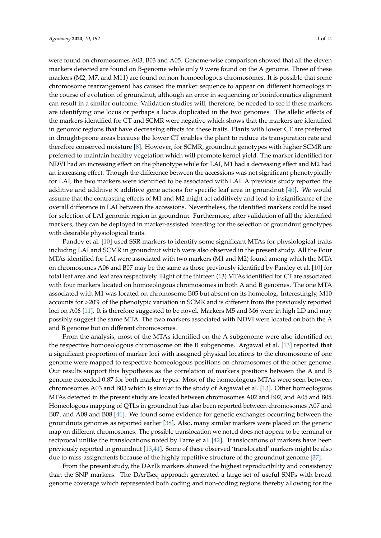were found on chromosomes A03, B03 and A05. Genome-wise comparison showed that all the eleven markers detected are found on B-genome while only 9 were found on the A genome. Three of these markers (M2, M7, and M11) are found on non-homoeologous chromosomes. It is possible that some chromosome rearrangement has caused the marker sequence to appear on different homeologs in the course of evolution of groundnut, although an error in sequencing or bioinformatics alignment can result in a similar outcome. Validation studies will, therefore, be needed to see if these markers are identifying one locus or perhaps a locus duplicated in the two genomes. The allelic effects of the markers identified for CT and SCMR were negative which shows that the markers are identified in genomic regions that have decreasing effects for these traits. Plants with lower CT are preferred in drought-prone areas because the lower CT enables the plant to reduce its transpiration rate and therefore conserved moisture [\[8\]](#page-11-7). However, for SCMR, groundnut genotypes with higher SCMR are preferred to maintain healthy vegetation which will promote kernel yield. The marker identified for NDVI had an increasing effect on the phenotype while for LAI, M1 had a decreasing effect and M2 had an increasing effect. Though the difference between the accessions was not significant phenotypically for LAI, the two markers were identified to be associated with LAI. A previous study reported the additive and additive  $\times$  additive gene actions for specific leaf area in groundnut [\[40\]](#page-13-10). We would assume that the contrasting effects of M1 and M2 might act additively and lead to insignificance of the overall difference in LAI between the accessions. Nevertheless, the identified markers could be used for selection of LAI genomic region in groundnut. Furthermore, after validation of all the identified markers, they can be deployed in marker-assisted breeding for the selection of groundnut genotypes with desirable physiological traits.

Pandey et al. [\[10\]](#page-12-1) used SSR markers to identify some significant MTAs for physiological traits including LAI and SCMR in groundnut which were also observed in the present study. All the Four MTAs identified for LAI were associated with two markers (M1 and M2) found among which the MTA on chromosomes A06 and B07 may be the same as those previously identified by Pandey et al. [\[10\]](#page-12-1) for total leaf area and leaf area respectively. Eight of the thirteen (13) MTAs identified for CT are associated with four markers located on homoeologous chromosomes in both A and B genomes. The one MTA associated with M1 was located on chromosome B05 but absent on its homeolog. Interestingly, M10 accounts for >20% of the phenotypic variation in SCMR and is different from the previously reported loci on A06 [\[11\]](#page-12-18). It is therefore suggested to be novel. Markers M5 and M6 were in high LD and may possibly suggest the same MTA. The two markers associated with NDVI were located on both the A and B genome but on different chromosomes.

From the analysis, most of the MTAs identified on the A subgenome were also identified on the respective homoeologous chromosome on the B subgenome. Argawal et al. [\[13\]](#page-12-2) reported that a significant proportion of marker loci with assigned physical locations to the chromosome of one genome were mapped to respective homeologous positions on chromosomes of the other genome. Our results support this hypothesis as the correlation of markers positions between the A and B genome exceeded 0.87 for both marker types. Most of the homeologous MTAs were seen between chromosomes A03 and B03 which is similar to the study of Argawal et al. [\[13\]](#page-12-2). Other homeologous MTAs detected in the present study are located between chromosomes A02 and B02, and A05 and B05. Homeologous mapping of QTLs in groundnut has also been reported between chromosomes A07 and B07, and A08 and B08 [\[41\]](#page-13-11). We found some evidence for genetic exchanges occurring between the groundnuts genomes as reported earlier [\[38\]](#page-13-8). Also, many similar markers were placed on the genetic map on different chromosomes. The possible translocation we noted does not appear to be terminal or reciprocal unlike the translocations noted by Farre et al. [\[42\]](#page-13-12). Translocations of markers have been previously reported in groundnut [\[13](#page-12-2)[,41\]](#page-13-11). Some of these observed 'translocated' markers might be also due to miss-assignments because of the highly repetitive structure of the groundnut genome [\[37\]](#page-13-7).

From the present study, the DArTs markers showed the highest reproducibility and consistency than the SNP markers. The DArTseq approach generated a large set of useful SNPs with broad genome coverage which represented both coding and non-coding regions thereby allowing for the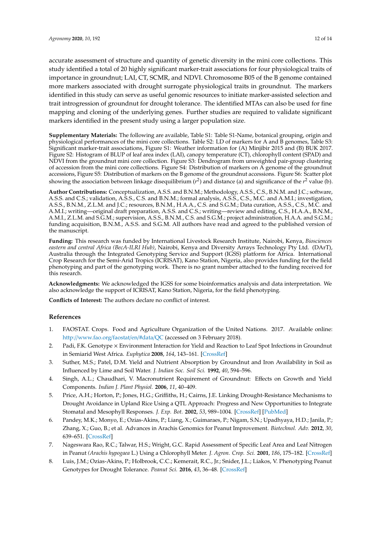accurate assessment of structure and quantity of genetic diversity in the mini core collections. This study identified a total of 20 highly significant marker-trait associations for four physiological traits of importance in groundnut; LAI, CT, SCMR, and NDVI. Chromosome B05 of the B genome contained more markers associated with drought surrogate physiological traits in groundnut. The markers identified in this study can serve as useful genomic resources to initiate marker-assisted selection and trait introgression of groundnut for drought tolerance. The identified MTAs can also be used for fine mapping and cloning of the underlying genes. Further studies are required to validate significant markers identified in the present study using a larger population size.

**Supplementary Materials:** The following are available, Table S1: Table S1-Name, botanical grouping, origin and physiological performances of the mini core collections. Table S2: LD of markers for A and B genomes, Table S3: Significant marker-trait associations, Figure S1: Weather information for (A) Minjibir 2015 and (B) BUK 2017. Figure S2: Histogram of BLUP of leaf area index (LAI), canopy temperature (CT), chlorophyll content (SPAD) and NDVI from the groundnut mini core collection. Figure S3: Dendrogram from unweighted pair-group clustering of accession from the mini core collections. Figure S4: Distribution of markers on A genome of the groundnut accessions, Figure S5: Distribution of markers on the B genome of the groundnut accessions. Figure S6: Scatter plot showing the association between linkage disequilibrium (*r*<sup>2</sup>) and distance (a) and significance of the *r*<sup>2</sup> value (b).

**Author Contributions:** Conceptualization, A.S.S. and B.N.M.; Methodology, A.S.S., C.S., B.N.M. and J.C.; software, A.S.S. and C.S.; validation, A.S.S., C.S. and B.N.M.; formal analysis, A.S.S., C.S., M.C. and A.M.I.; investigation, A.S.S., B.N.M., Z.L.M. and J.C.; resources, B.N.M., H.A.A., C.S. and S.G.M.; Data curation, A.S.S., C.S., M.C. and A.M.I.; writing—original draft preparation, A.S.S. and C.S.; writing—review and editing, C.S., H.A.A., B.N.M., A.M.I., Z.L.M. and S.G.M.; supervision, A.S.S., B.N.M., C.S. and S.G.M.; project administration, H.A.A. and S.G.M.; funding acquisition, B.N.M., A.S.S. and S.G.M. All authors have read and agreed to the published version of the manuscript.

**Funding:** This research was funded by International Livestock Research Institute, Nairobi, Kenya, *Biosciences eastern and central Africa (BecA-ILRI Hub)*, Nairobi, Kenya and Diversity Arrays Technology Pty Ltd. (DArT), Australia through the Integrated Genotyping Service and Support (IGSS) platform for Africa. International Crop Research for the Semi-Arid Tropics (ICRISAT), Kano Station, Nigeria, also provides funding for the field phenotyping and part of the genotyping work. There is no grant number attached to the funding received for this research.

**Acknowledgments:** We acknowledged the IGSS for some bioinformatics analysis and data interpretation. We also acknowledge the support of ICRISAT, Kano Station, Nigeria, for the field phenotyping.

**Conflicts of Interest:** The authors declare no conflict of interest.

# **References**

- <span id="page-11-0"></span>1. FAOSTAT. Crops. Food and Agriculture Organization of the United Nations. 2017. Available online: http://[www.fao.org](http://www.fao.org/faostat/en/#data/QC)/faostat/en/#data/QC (accessed on 3 February 2018).
- <span id="page-11-1"></span>2. Padi, F.K. Genotype × Environment Interaction for Yield and Reaction to Leaf Spot Infections in Groundnut in Semiarid West Africa. *Euphytica* **2008**, *164*, 143–161. [\[CrossRef\]](http://dx.doi.org/10.1007/s10681-008-9677-6)
- <span id="page-11-2"></span>3. Suther, M.S.; Patel, D.M. Yield and Nutrient Absorption by Groundnut and Iron Availability in Soil as Influenced by Lime and Soil Water. *J. Indian Soc. Soil Sci.* **1992**, *40*, 594–596.
- <span id="page-11-3"></span>4. Singh, A.L.; Chaudhari, V. Macronutrient Requirement of Groundnut: Effects on Growth and Yield Components. *Indian J. Plant Physiol.* **2006**, *11*, 40–409.
- <span id="page-11-4"></span>5. Price, A.H.; Horton, P.; Jones, H.G.; Griffiths, H.; Cairns, J.E. Linking Drought-Resistance Mechanisms to Drought Avoidance in Upland Rice Using a QTL Approach: Progress and New Opportunities to Integrate Stomatal and Mesophyll Responses. *J. Exp. Bot.* **2002**, *53*, 989–1004. [\[CrossRef\]](http://dx.doi.org/10.1093/jexbot/53.371.989) [\[PubMed\]](http://www.ncbi.nlm.nih.gov/pubmed/11971911)
- <span id="page-11-5"></span>6. Pandey, M.K.; Monyo, E.; Ozias-Akins, P.; Liang, X.; Guimaraes, P.; Nigam, S.N.; Upadhyaya, H.D.; Janila, P.; Zhang, X.; Guo, B.; et al. Advances in Arachis Genomics for Peanut Improvement. *Biotechnol. Adv.* **2012**, *30*, 639–651. [\[CrossRef\]](http://dx.doi.org/10.1016/j.biotechadv.2011.11.001)
- <span id="page-11-6"></span>7. Nageswara Rao, R.C.; Talwar, H.S.; Wright, G.C. Rapid Assessment of Specific Leaf Area and Leaf Nitrogen in Peanut *(Arachis hypogaea* L.) Using a Chlorophyll Meter. *J. Agron. Crop. Sci.* **2001**, *186*, 175–182. [\[CrossRef\]](http://dx.doi.org/10.1046/j.1439-037X.2001.00472.x)
- <span id="page-11-7"></span>8. Luis, J.M.; Ozias-Akins, P.; Holbrook, C.C.; Kemerait, R.C., Jr.; Snider, J.L.; Liakos, V. Phenotyping Peanut Genotypes for Drought Tolerance. *Peanut Sci.* **2016**, *43*, 36–48. [\[CrossRef\]](http://dx.doi.org/10.3146/0095-3679-43.1.36)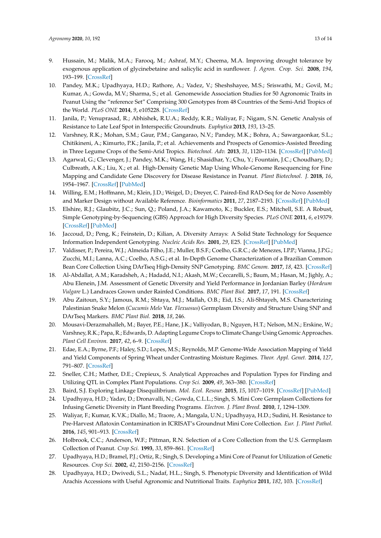- <span id="page-12-0"></span>9. Hussain, M.; Malik, M.A.; Farooq, M.; Ashraf, M.Y.; Cheema, M.A. Improving drought tolerance by exogenous application of glycinebetaine and salicylic acid in sunflower. *J. Agron. Crop. Sci.* **2008**, *194*, 193–199. [\[CrossRef\]](http://dx.doi.org/10.1111/j.1439-037X.2008.00305.x)
- <span id="page-12-1"></span>10. Pandey, M.K.; Upadhyaya, H.D.; Rathore, A.; Vadez, V.; Sheshshayee, M.S.; Sriswathi, M.; Govil, M.; Kumar, A.; Gowda, M.V.; Sharma, S.; et al. Genomewide Association Studies for 50 Agronomic Traits in Peanut Using the "reference Set" Comprising 300 Genotypes from 48 Countries of the Semi-Arid Tropics of the World. *PLoS ONE* **2014**, *9*, e105228. [\[CrossRef\]](http://dx.doi.org/10.1371/journal.pone.0105228)
- <span id="page-12-18"></span>11. Janila, P.; Venuprasad, R.; Abhishek, R.U.A.; Reddy, K.R.; Waliyar, F.; Nigam, S.N. Genetic Analysis of Resistance to Late Leaf Spot in Interspecific Groundnuts. *Euphytica* **2013**, *193*, 13–25.
- <span id="page-12-3"></span>12. Varshney, R.K.; Mohan, S.M.; Gaur, P.M.; Gangarao, N.V.; Pandey, M.K.; Bohra, A.; Sawargaonkar, S.L.; Chitikineni, A.; Kimurto, P.K.; Janila, P.; et al. Achievements and Prospects of Genomics-Assisted Breeding in Three Legume Crops of the Semi-Arid Tropics. *Biotechnol. Adv.* **2013**, *31*, 1120–1134. [\[CrossRef\]](http://dx.doi.org/10.1016/j.biotechadv.2013.01.001) [\[PubMed\]](http://www.ncbi.nlm.nih.gov/pubmed/23313999)
- <span id="page-12-2"></span>13. Agarwal, G.; Clevenger, J.; Pandey, M.K.; Wang, H.; Shasidhar, Y.; Chu, Y.; Fountain, J.C.; Choudhary, D.; Culbreath, A.K.; Liu, X.; et al. High-Density Genetic Map Using Whole-Genome Resequencing for Fine Mapping and Candidate Gene Discovery for Disease Resistance in Peanut. *Plant Biotechnol. J.* **2018**, *16*, 1954–1967. [\[CrossRef\]](http://dx.doi.org/10.1111/pbi.12930) [\[PubMed\]](http://www.ncbi.nlm.nih.gov/pubmed/29637729)
- <span id="page-12-4"></span>14. Willing, E.M.; Hoffmann, M.; Klein, J.D.; Weigel, D.; Dreyer, C. Paired-End RAD-Seq for de Novo Assembly and Marker Design without Available Reference. *Bioinformatics* **2011**, *27*, 2187–2193. [\[CrossRef\]](http://dx.doi.org/10.1093/bioinformatics/btr346) [\[PubMed\]](http://www.ncbi.nlm.nih.gov/pubmed/21712251)
- <span id="page-12-5"></span>15. Elshire, R.J.; Glaubitz, J.C.; Sun, Q.; Poland, J.A.; Kawamoto, K.; Buckler, E.S.; Mitchell, S.E. A Robust, Simple Genotyping-by-Sequencing (GBS) Approach for High Diversity Species. *PLoS ONE* **2011**, *6*, e19379. [\[CrossRef\]](http://dx.doi.org/10.1371/journal.pone.0019379) [\[PubMed\]](http://www.ncbi.nlm.nih.gov/pubmed/21573248)
- <span id="page-12-6"></span>16. Jaccoud, D.; Peng, K.; Feinstein, D.; Kilian, A. Diversity Arrays: A Solid State Technology for Sequence Information Independent Genotyping. *Nucleic Acids Res.* **2001**, *29*, E25. [\[CrossRef\]](http://dx.doi.org/10.1093/nar/29.4.e25) [\[PubMed\]](http://www.ncbi.nlm.nih.gov/pubmed/11160945)
- <span id="page-12-7"></span>17. Valdisser, P.; Pereira, W.J.; Almeida Filho, J.E.; Muller, B.S.F.; Coelho, G.R.C.; de Menezes, I.P.P.; Vianna, J.P.G.; Zucchi, M.I.; Lanna, A.C.; Coelho, A.S.G.; et al. In-Depth Genome Characterization of a Brazilian Common Bean Core Collection Using DArTseq High-Density SNP Genotyping. *BMC Genom.* **2017**, *18*, 423. [\[CrossRef\]](http://dx.doi.org/10.1186/s12864-017-3805-4)
- 18. Al-Abdallat, A.M.; Karadsheh, A.; Hadadd, N.I.; Akash, M.W.; Ceccarelli, S.; Baum, M.; Hasan, M.; Jighly, A.; Abu Elenein, J.M. Assessment of Genetic Diversity and Yield Performance in Jordanian Barley (*Hordeum Vulgare* L.) Landraces Grown under Rainfed Conditions. *BMC Plant Biol.* **2017**, *17*, 191. [\[CrossRef\]](http://dx.doi.org/10.1186/s12870-017-1140-1)
- <span id="page-12-8"></span>19. Abu Zaitoun, S.Y.; Jamous, R.M.; Shtaya, M.J.; Mallah, O.B.; Eid, I.S.; Ali-Shtayeh, M.S. Characterizing Palestinian Snake Melon (*Cucumis Melo* Var. *Flexuosus*) Germplasm Diversity and Structure Using SNP and DArTseq Markers. *BMC Plant Biol.* **2018**, *18*, 246.
- <span id="page-12-9"></span>20. Mousavi-Derazmahalleh, M.; Bayer, P.E.; Hane, J.K.; Valliyodan, B.; Nguyen, H.T.; Nelson, M.N.; Erskine, W.; Varshney, R.K.; Papa, R.; Edwards, D. Adapting Legume Crops to Climate Change Using Genomic Approaches. *Plant Cell Environ.* **2017**, *42*, 6–9. [\[CrossRef\]](http://dx.doi.org/10.1111/pce.13203)
- <span id="page-12-10"></span>21. Edae, E.A.; Byrne, P.F.; Haley, S.D.; Lopes, M.S.; Reynolds, M.P. Genome-Wide Association Mapping of Yield and Yield Components of Spring Wheat under Contrasting Moisture Regimes. *Theor. Appl. Genet.* **2014**, *127*, 791–807. [\[CrossRef\]](http://dx.doi.org/10.1007/s00122-013-2257-8)
- <span id="page-12-11"></span>22. Sneller, C.H.; Mather, D.E.; Crepieux, S. Analytical Approaches and Population Types for Finding and Utilizing QTL in Complex Plant Populations. *Crop Sci.* **2009**, *49*, 363–380. [\[CrossRef\]](http://dx.doi.org/10.2135/cropsci2008.07.0420)
- <span id="page-12-12"></span>23. Baird, S.J. Exploring Linkage Disequilibrium. *Mol. Ecol. Resour.* **2015**, *15*, 1017–1019. [\[CrossRef\]](http://dx.doi.org/10.1111/1755-0998.12424) [\[PubMed\]](http://www.ncbi.nlm.nih.gov/pubmed/26261040)
- <span id="page-12-13"></span>24. Upadhyaya, H.D.; Yadav, D.; Dronavalli, N.; Gowda, C.L.L.; Singh, S. Mini Core Germplasm Collections for Infusing Genetic Diversity in Plant Breeding Programs. *Electron. J. Plant Breed.* **2010**, *1*, 1294–1309.
- <span id="page-12-14"></span>25. Waliyar, F.; Kumar, K.V.K.; Diallo, M.; Traore, A.; Mangala, U.N.; Upadhyaya, H.D.; Sudini, H. Resistance to Pre-Harvest Aflatoxin Contamination in ICRISAT's Groundnut Mini Core Collection. *Eur. J. Plant Pathol.* **2016**, *145*, 901–913. [\[CrossRef\]](http://dx.doi.org/10.1007/s10658-016-0879-9)
- <span id="page-12-15"></span>26. Holbrook, C.C.; Anderson, W.F.; Pittman, R.N. Selection of a Core Collection from the U.S. Germplasm Collection of Peanut. *Crop Sci.* **1993**, *33*, 859–861. [\[CrossRef\]](http://dx.doi.org/10.2135/cropsci1993.0011183X003300040044x)
- <span id="page-12-16"></span>27. Upadhyaya, H.D.; Bramel, P.J.; Ortiz, R.; Singh, S. Developing a Mini Core of Peanut for Utilization of Genetic Resources. *Crop Sci.* **2002**, *42*, 2150–2156. [\[CrossRef\]](http://dx.doi.org/10.2135/cropsci2002.2150)
- <span id="page-12-17"></span>28. Upadhyaya, H.D.; Dwivedi, S.L.; Nadaf, H.L.; Singh, S. Phenotypic Diversity and Identification of Wild Arachis Accessions with Useful Agronomic and Nutritional Traits. *Euphytica* **2011**, *182*, 103. [\[CrossRef\]](http://dx.doi.org/10.1007/s10681-011-0518-7)